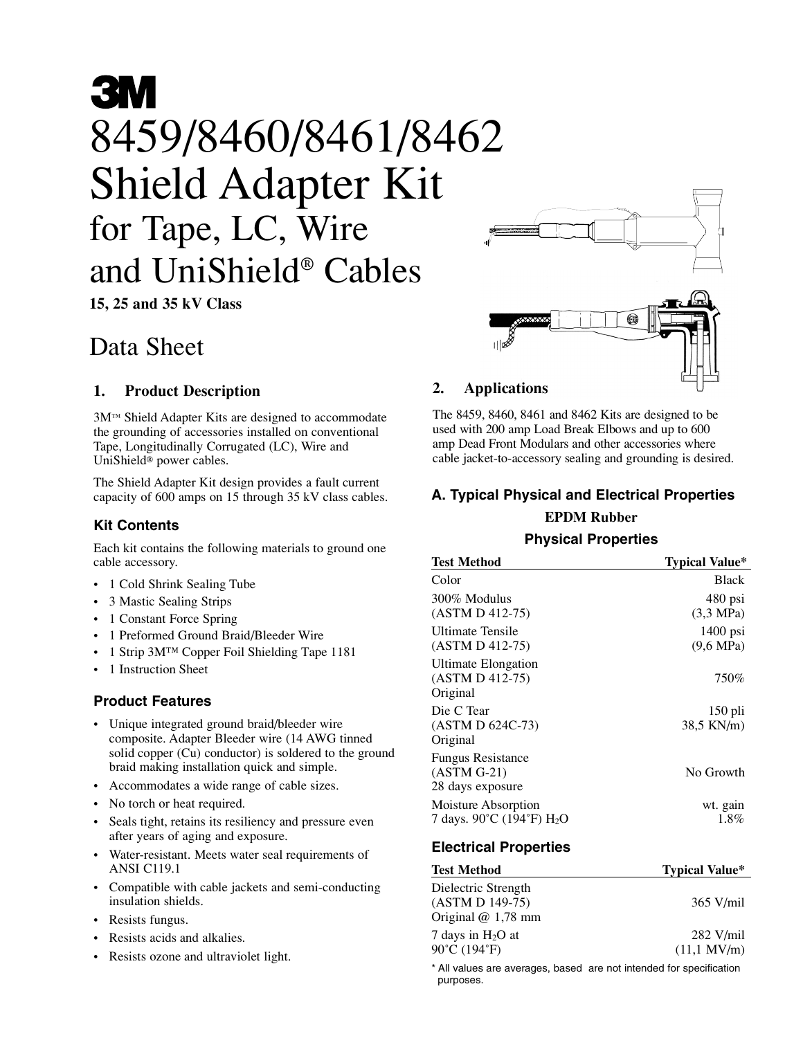# **3M** 8459/8460/8461/8462 O+J9/0400/0401/0<br>Shield Adapter K<br>for Tape, LC, Wire<br>and UniShield® Cables<br>15, 25 and 35 kV Class Shield Adapter Kit for Tape, LC, Wire and UniShield® Cables

## Data Sheet

### 1. Product Description

3M™ Shield Adapter Kits are designed to accommodate the grounding of accessories installed on conventional Tape, Longitudinally Corrugated (LC), Wire and UniShield® power cables.

The Shield Adapter Kit design provides a fault current capacity of 600 amps on 15 through 35 kV class cables.

#### Kit Contents

Each kit contains the following materials to ground one cable accessory.

- 1 Cold Shrink Sealing Tube
- 3 Mastic Sealing Strips
- 1 Constant Force Spring
- 1 Preformed Ground Braid/Bleeder Wire
- 1 Strip 3M™ Copper Foil Shielding Tape 1181
- 1 Instruction Sheet

### Product Features

- Unique integrated ground braid/bleeder wire composite. Adapter Bleeder wire (14 AWG tinned solid copper (Cu) conductor) is soldered to the ground braid making installation quick and simple.
- Accommodates a wide range of cable sizes.
- No torch or heat required.
- Seals tight, retains its resiliency and pressure even after years of aging and exposure.
- Water-resistant. Meets water seal requirements of ANSI C119.1
- Compatible with cable jackets and semi-conducting insulation shields.
- Resists fungus.
- Resists acids and alkalies.
- Resists ozone and ultraviolet light.

The 8459, 8460, 8461 and 8462 Kits are designed to be<br>used with 200 amp Load Break Elbows and up to 600<br>amp Dead Front Modulars and other accessories where<br>cable jacket-to-accessory sealing and grounding is desired.<br><br>**A. T** The 8459, 8460, 8461 and 8462 Kits are designed to be used with 200 amp Load Break Elbows and up to 600 amp Dead Front Modulars and other accessories where cable jacket-to-accessory sealing and grounding is desired.

### A. Typical Physical and Electrical Properties

### EPDM Rubber

#### Physical Properties

| <b>Test Method</b>                                            | <b>Typical Value*</b>             |
|---------------------------------------------------------------|-----------------------------------|
| Color                                                         | <b>Black</b>                      |
| 300% Modulus<br>$(ASTM D 412-75)$                             | 480 psi<br>$(3.3 \text{ MPa})$    |
| <b>Ultimate Tensile</b><br>$(ASTM D 412-75)$                  | $1400$ psi<br>$(9,6 \text{ MPa})$ |
| Ultimate Elongation<br>(ASTM D 412-75)<br>Original            | 750%                              |
| Die C Tear<br>$(ASTM D 624C-73)$<br>Original                  | $150$ pli<br>38.5 KN/m)           |
| <b>Fungus Resistance</b><br>$(ASTM G-21)$<br>28 days exposure | No Growth                         |
| Moisture Absorption<br>7 days. 90°C (194°F) H <sub>2</sub> O  | wt. gain<br>1.8%                  |
|                                                               |                                   |

#### Electrical Properties

| <b>Test Method</b>                                            | <b>Typical Value*</b>                |
|---------------------------------------------------------------|--------------------------------------|
| Dielectric Strength<br>(ASTM D 149-75)<br>Original $@1,78$ mm | $365$ V/mil                          |
| 7 days in $H_2O$ at<br>90°C (194°F)                           | $282$ V/mil<br>$(11.1 \text{ MV/m})$ |

\* All values are averages, based are not intended for specification purposes.